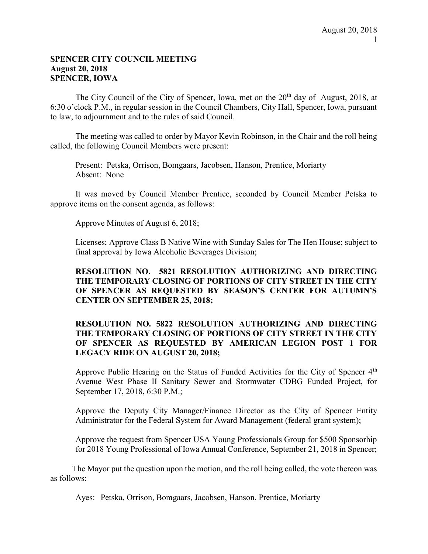#### SPENCER CITY COUNCIL MEETING August 20, 2018 SPENCER, IOWA

The City Council of the City of Spencer, Iowa, met on the  $20<sup>th</sup>$  day of August, 2018, at 6:30 o'clock P.M., in regular session in the Council Chambers, City Hall, Spencer, Iowa, pursuant to law, to adjournment and to the rules of said Council.

The meeting was called to order by Mayor Kevin Robinson, in the Chair and the roll being called, the following Council Members were present:

Present: Petska, Orrison, Bomgaars, Jacobsen, Hanson, Prentice, Moriarty Absent: None

It was moved by Council Member Prentice, seconded by Council Member Petska to approve items on the consent agenda, as follows:

Approve Minutes of August 6, 2018;

 Licenses; Approve Class B Native Wine with Sunday Sales for The Hen House; subject to final approval by Iowa Alcoholic Beverages Division;

# RESOLUTION NO. 5821 RESOLUTION AUTHORIZING AND DIRECTING THE TEMPORARY CLOSING OF PORTIONS OF CITY STREET IN THE CITY OF SPENCER AS REQUESTED BY SEASON'S CENTER FOR AUTUMN'S CENTER ON SEPTEMBER 25, 2018;

## RESOLUTION NO. 5822 RESOLUTION AUTHORIZING AND DIRECTING THE TEMPORARY CLOSING OF PORTIONS OF CITY STREET IN THE CITY OF SPENCER AS REQUESTED BY AMERICAN LEGION POST 1 FOR LEGACY RIDE ON AUGUST 20, 2018;

Approve Public Hearing on the Status of Funded Activities for the City of Spencer  $4<sup>th</sup>$  Avenue West Phase II Sanitary Sewer and Stormwater CDBG Funded Project, for September 17, 2018, 6:30 P.M.;

Approve the Deputy City Manager/Finance Director as the City of Spencer Entity Administrator for the Federal System for Award Management (federal grant system);

Approve the request from Spencer USA Young Professionals Group for \$500 Sponsorhip for 2018 Young Professional of Iowa Annual Conference, September 21, 2018 in Spencer;

The Mayor put the question upon the motion, and the roll being called, the vote thereon was as follows:

Ayes: Petska, Orrison, Bomgaars, Jacobsen, Hanson, Prentice, Moriarty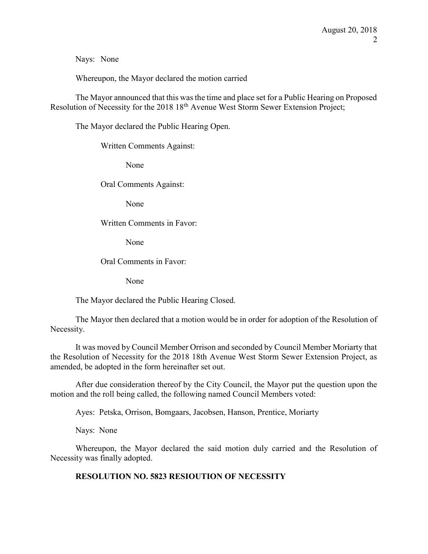Nays: None

Whereupon, the Mayor declared the motion carried

The Mayor announced that this was the time and place set for a Public Hearing on Proposed Resolution of Necessity for the 2018 18<sup>th</sup> Avenue West Storm Sewer Extension Project;

The Mayor declared the Public Hearing Open.

Written Comments Against:

None

Oral Comments Against:

None

#### Written Comments in Favor:

None

Oral Comments in Favor:

None

The Mayor declared the Public Hearing Closed.

The Mayor then declared that a motion would be in order for adoption of the Resolution of Necessity.

It was moved by Council Member Orrison and seconded by Council Member Moriarty that the Resolution of Necessity for the 2018 18th Avenue West Storm Sewer Extension Project, as amended, be adopted in the form hereinafter set out.

After due consideration thereof by the City Council, the Mayor put the question upon the motion and the roll being called, the following named Council Members voted:

Ayes: Petska, Orrison, Bomgaars, Jacobsen, Hanson, Prentice, Moriarty

Nays: None

Whereupon, the Mayor declared the said motion duly carried and the Resolution of Necessity was finally adopted.

# RESOLUTION NO. 5823 RESIOUTION OF NECESSITY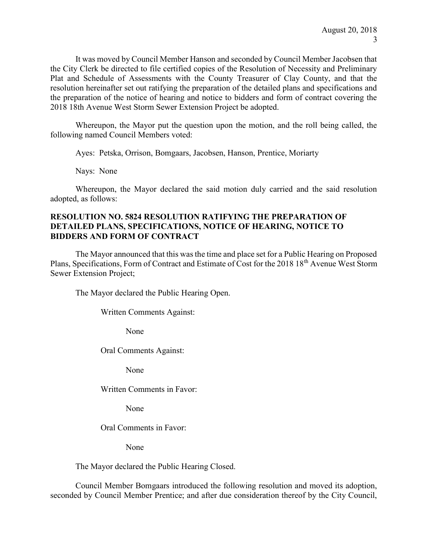It was moved by Council Member Hanson and seconded by Council Member Jacobsen that the City Clerk be directed to file certified copies of the Resolution of Necessity and Preliminary Plat and Schedule of Assessments with the County Treasurer of Clay County, and that the resolution hereinafter set out ratifying the preparation of the detailed plans and specifications and the preparation of the notice of hearing and notice to bidders and form of contract covering the 2018 18th Avenue West Storm Sewer Extension Project be adopted.

Whereupon, the Mayor put the question upon the motion, and the roll being called, the following named Council Members voted:

Ayes: Petska, Orrison, Bomgaars, Jacobsen, Hanson, Prentice, Moriarty

Nays: None

Whereupon, the Mayor declared the said motion duly carried and the said resolution adopted, as follows:

#### RESOLUTION NO. 5824 RESOLUTION RATIFYING THE PREPARATION OF DETAILED PLANS, SPECIFICATIONS, NOTICE OF HEARING, NOTICE TO BIDDERS AND FORM OF CONTRACT

The Mayor announced that this was the time and place set for a Public Hearing on Proposed Plans, Specifications, Form of Contract and Estimate of Cost for the 2018 18<sup>th</sup> Avenue West Storm Sewer Extension Project;

The Mayor declared the Public Hearing Open.

Written Comments Against:

None

Oral Comments Against:

None

Written Comments in Favor:

None

Oral Comments in Favor:

None

The Mayor declared the Public Hearing Closed.

 Council Member Bomgaars introduced the following resolution and moved its adoption, seconded by Council Member Prentice; and after due consideration thereof by the City Council,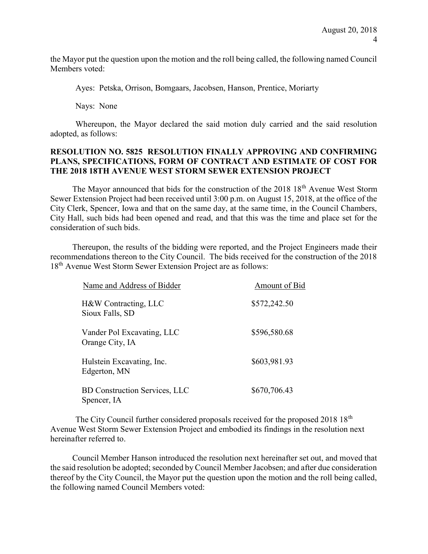the Mayor put the question upon the motion and the roll being called, the following named Council Members voted:

Ayes: Petska, Orrison, Bomgaars, Jacobsen, Hanson, Prentice, Moriarty

Nays: None

Whereupon, the Mayor declared the said motion duly carried and the said resolution adopted, as follows:

#### RESOLUTION NO. 5825 RESOLUTION FINALLY APPROVING AND CONFIRMING PLANS, SPECIFICATIONS, FORM OF CONTRACT AND ESTIMATE OF COST FOR THE 2018 18TH AVENUE WEST STORM SEWER EXTENSION PROJECT

The Mayor announced that bids for the construction of the 2018 18<sup>th</sup> Avenue West Storm Sewer Extension Project had been received until 3:00 p.m. on August 15, 2018, at the office of the City Clerk, Spencer, Iowa and that on the same day, at the same time, in the Council Chambers, City Hall, such bids had been opened and read, and that this was the time and place set for the consideration of such bids.

Thereupon, the results of the bidding were reported, and the Project Engineers made their recommendations thereon to the City Council. The bids received for the construction of the 2018 18<sup>th</sup> Avenue West Storm Sewer Extension Project are as follows:

| Name and Address of Bidder                          | Amount of Bid |
|-----------------------------------------------------|---------------|
| H&W Contracting, LLC<br>Sioux Falls, SD             | \$572,242.50  |
| Vander Pol Excavating, LLC<br>Orange City, IA       | \$596,580.68  |
| Hulstein Excavating, Inc.<br>Edgerton, MN           | \$603,981.93  |
| <b>BD Construction Services, LLC</b><br>Spencer, IA | \$670,706.43  |

The City Council further considered proposals received for the proposed 2018 18<sup>th</sup> Avenue West Storm Sewer Extension Project and embodied its findings in the resolution next hereinafter referred to.

Council Member Hanson introduced the resolution next hereinafter set out, and moved that the said resolution be adopted; seconded by Council Member Jacobsen; and after due consideration thereof by the City Council, the Mayor put the question upon the motion and the roll being called, the following named Council Members voted: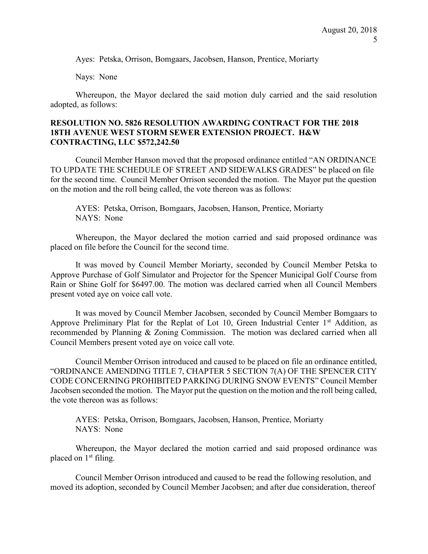Ayes: Petska, Orrison, Bomgaars, Jacobsen, Hanson, Prentice, Moriarty

Nays: None

Whereupon, the Mayor declared the said motion duly carried and the said resolution adopted, as follows:

#### RESOLUTION NO. 5826 RESOLUTION AWARDING CONTRACT FOR THE 2018 18TH AVENUE WEST STORM SEWER EXTENSION PROJECT. H&W CONTRACTING, LLC \$572,242.50

Council Member Hanson moved that the proposed ordinance entitled "AN ORDINANCE TO UPDATE THE SCHEDULE OF STREET AND SIDEWALKS GRADES" be placed on file for the second time. Council Member Orrison seconded the motion. The Mayor put the question on the motion and the roll being called, the vote thereon was as follows:

AYES: Petska, Orrison, Bomgaars, Jacobsen, Hanson, Prentice, Moriarty NAYS: None

Whereupon, the Mayor declared the motion carried and said proposed ordinance was placed on file before the Council for the second time.

It was moved by Council Member Moriarty, seconded by Council Member Petska to Approve Purchase of Golf Simulator and Projector for the Spencer Municipal Golf Course from Rain or Shine Golf for \$6497.00. The motion was declared carried when all Council Members present voted aye on voice call vote.

It was moved by Council Member Jacobsen, seconded by Council Member Bomgaars to Approve Preliminary Plat for the Replat of Lot 10, Green Industrial Center  $1<sup>st</sup>$  Addition, as recommended by Planning & Zoning Commission. The motion was declared carried when all Council Members present voted aye on voice call vote.

Council Member Orrison introduced and caused to be placed on file an ordinance entitled, "ORDINANCE AMENDING TITLE 7, CHAPTER 5 SECTION 7(A) OF THE SPENCER CITY CODE CONCERNING PROHIBITED PARKING DURING SNOW EVENTS" Council Member Jacobsen seconded the motion. The Mayor put the question on the motion and the roll being called, the vote thereon was as follows:

AYES: Petska, Orrison, Bomgaars, Jacobsen, Hanson, Prentice, Moriarty NAYS: None

Whereupon, the Mayor declared the motion carried and said proposed ordinance was placed on 1<sup>st</sup> filing.

Council Member Orrison introduced and caused to be read the following resolution, and moved its adoption, seconded by Council Member Jacobsen; and after due consideration, thereof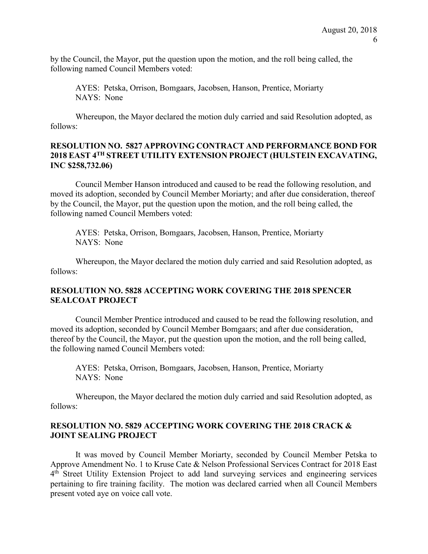by the Council, the Mayor, put the question upon the motion, and the roll being called, the following named Council Members voted:

AYES: Petska, Orrison, Bomgaars, Jacobsen, Hanson, Prentice, Moriarty NAYS: None

 Whereupon, the Mayor declared the motion duly carried and said Resolution adopted, as follows:

#### RESOLUTION NO. 5827 APPROVING CONTRACT AND PERFORMANCE BOND FOR 2018 EAST 4TH STREET UTILITY EXTENSION PROJECT (HULSTEIN EXCAVATING, INC \$258,732.06)

Council Member Hanson introduced and caused to be read the following resolution, and moved its adoption, seconded by Council Member Moriarty; and after due consideration, thereof by the Council, the Mayor, put the question upon the motion, and the roll being called, the following named Council Members voted:

AYES: Petska, Orrison, Bomgaars, Jacobsen, Hanson, Prentice, Moriarty NAYS: None

 Whereupon, the Mayor declared the motion duly carried and said Resolution adopted, as follows:

#### RESOLUTION NO. 5828 ACCEPTING WORK COVERING THE 2018 SPENCER SEALCOAT PROJECT

Council Member Prentice introduced and caused to be read the following resolution, and moved its adoption, seconded by Council Member Bomgaars; and after due consideration, thereof by the Council, the Mayor, put the question upon the motion, and the roll being called, the following named Council Members voted:

AYES: Petska, Orrison, Bomgaars, Jacobsen, Hanson, Prentice, Moriarty NAYS: None

 Whereupon, the Mayor declared the motion duly carried and said Resolution adopted, as follows:

#### RESOLUTION NO. 5829 ACCEPTING WORK COVERING THE 2018 CRACK & JOINT SEALING PROJECT

It was moved by Council Member Moriarty, seconded by Council Member Petska to Approve Amendment No. 1 to Kruse Cate & Nelson Professional Services Contract for 2018 East 4<sup>th</sup> Street Utility Extension Project to add land surveying services and engineering services pertaining to fire training facility. The motion was declared carried when all Council Members present voted aye on voice call vote.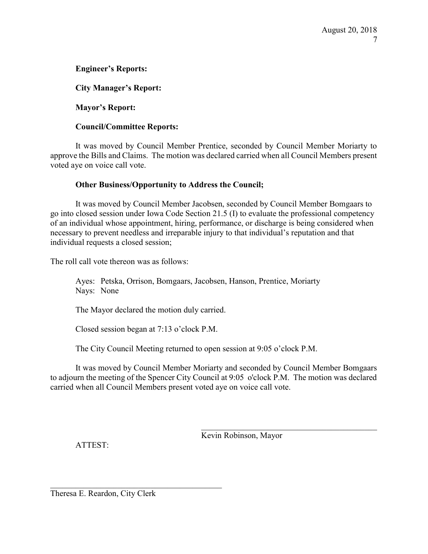# Engineer's Reports:

City Manager's Report:

Mayor's Report:

#### Council/Committee Reports:

It was moved by Council Member Prentice, seconded by Council Member Moriarty to approve the Bills and Claims. The motion was declared carried when all Council Members present voted aye on voice call vote.

#### Other Business/Opportunity to Address the Council;

 It was moved by Council Member Jacobsen, seconded by Council Member Bomgaars to go into closed session under Iowa Code Section 21.5 (I) to evaluate the professional competency of an individual whose appointment, hiring, performance, or discharge is being considered when necessary to prevent needless and irreparable injury to that individual's reputation and that individual requests a closed session;

The roll call vote thereon was as follows:

Ayes: Petska, Orrison, Bomgaars, Jacobsen, Hanson, Prentice, Moriarty Nays: None

The Mayor declared the motion duly carried.

Closed session began at 7:13 o'clock P.M.

The City Council Meeting returned to open session at 9:05 o'clock P.M.

It was moved by Council Member Moriarty and seconded by Council Member Bomgaars to adjourn the meeting of the Spencer City Council at 9:05 o'clock P.M. The motion was declared carried when all Council Members present voted aye on voice call vote.

Kevin Robinson, Mayor

ATTEST:

Theresa E. Reardon, City Clerk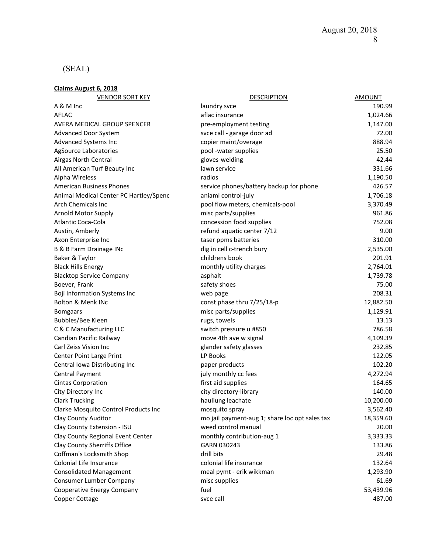# (SEAL)

Claims August 6, 2018

| <b>VENDOR SORT KEY</b>                 | <b>DESCRIPTION</b>                             | <b>AMOUNT</b> |
|----------------------------------------|------------------------------------------------|---------------|
| A & M Inc                              | laundry svce                                   | 190.99        |
| <b>AFLAC</b>                           | aflac insurance                                | 1,024.66      |
| AVERA MEDICAL GROUP SPENCER            | pre-employment testing                         | 1,147.00      |
| Advanced Door System                   | svce call - garage door ad                     | 72.00         |
| Advanced Systems Inc                   | copier maint/overage                           | 888.94        |
| AgSource Laboratories                  | pool -water supplies                           | 25.50         |
| Airgas North Central                   | gloves-welding                                 | 42.44         |
| All American Turf Beauty Inc           | lawn service                                   | 331.66        |
| Alpha Wireless                         | radios                                         | 1,190.50      |
| <b>American Business Phones</b>        | service phones/battery backup for phone        | 426.57        |
| Animal Medical Center PC Hartley/Spenc | aniaml control-july                            | 1,706.18      |
| <b>Arch Chemicals Inc</b>              | pool flow meters, chemicals-pool               | 3,370.49      |
| Arnold Motor Supply                    | misc parts/supplies                            | 961.86        |
| Atlantic Coca-Cola                     | concession food supplies                       | 752.08        |
| Austin, Amberly                        | refund aquatic center 7/12                     | 9.00          |
| Axon Enterprise Inc                    | taser ppms batteries                           | 310.00        |
| B & B Farm Drainage INc                | dig in cell c-trench bury                      | 2,535.00      |
| Baker & Taylor                         | childrens book                                 | 201.91        |
| <b>Black Hills Energy</b>              | monthly utility charges                        | 2,764.01      |
| <b>Blacktop Service Company</b>        | asphalt                                        | 1,739.78      |
| Boever, Frank                          | safety shoes                                   | 75.00         |
| <b>Boji Information Systems Inc</b>    | web page                                       | 208.31        |
| <b>Bolton &amp; Menk INc</b>           | const phase thru 7/25/18-p                     | 12,882.50     |
| <b>Bomgaars</b>                        | misc parts/supplies                            | 1,129.91      |
| Bubbles/Bee Kleen                      | rugs, towels                                   | 13.13         |
| C & C Manufacturing LLC                | switch pressure u #850                         | 786.58        |
| Candian Pacific Railway                | move 4th ave w signal                          | 4,109.39      |
| Carl Zeiss Vision Inc                  | glander safety glasses                         | 232.85        |
| Center Point Large Print               | LP Books                                       | 122.05        |
| Central Iowa Distributing Inc          | paper products                                 | 102.20        |
| <b>Central Payment</b>                 | july monthly cc fees                           | 4,272.94      |
| <b>Cintas Corporation</b>              | first aid supplies                             | 164.65        |
| City Directory Inc                     | city directory-library                         | 140.00        |
| <b>Clark Trucking</b>                  | hauliung leachate                              | 10,200.00     |
| Clarke Mosquito Control Products Inc   | mosquito spray                                 | 3,562.40      |
| Clay County Auditor                    | mo jail payment-aug 1; share loc opt sales tax | 18,359.60     |
| Clay County Extension - ISU            | weed control manual                            | 20.00         |
| Clay County Regional Event Center      | monthly contribution-aug 1                     | 3,333.33      |
| Clay County Sherriffs Office           | GARN 030243                                    | 133.86        |
| Coffman's Locksmith Shop               | drill bits                                     | 29.48         |
| Colonial Life Insurance                | colonial life insurance                        | 132.64        |
| <b>Consolidated Management</b>         | meal pymt - erik wikkman                       | 1,293.90      |
| Consumer Lumber Company                | misc supplies                                  | 61.69         |
| Cooperative Energy Company             | fuel                                           | 53,439.96     |
| Copper Cottage                         | svce call                                      | 487.00        |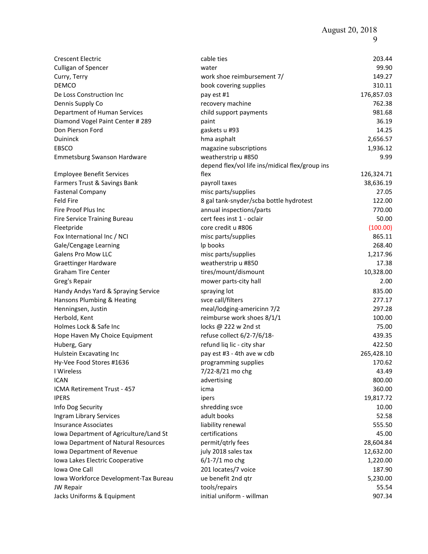August 20, 2018

| <b>Crescent Electric</b>                                           | cable ties                                      | 203.44          |
|--------------------------------------------------------------------|-------------------------------------------------|-----------------|
| Culligan of Spencer                                                | water                                           | 99.90           |
| Curry, Terry                                                       | work shoe reimbursement 7/                      | 149.27          |
| <b>DEMCO</b>                                                       | book covering supplies                          | 310.11          |
| De Loss Construction Inc                                           | pay est #1                                      | 176,857.03      |
| Dennis Supply Co                                                   | recovery machine                                | 762.38          |
| Department of Human Services                                       | child support payments                          | 981.68          |
| Diamond Vogel Paint Center # 289                                   | paint                                           | 36.19           |
| Don Pierson Ford                                                   | gaskets u #93                                   | 14.25           |
| Duininck                                                           | hma asphalt                                     | 2,656.57        |
| EBSCO                                                              | magazine subscriptions                          | 1,936.12        |
| Emmetsburg Swanson Hardware                                        | weatherstrip u #850                             | 9.99            |
|                                                                    | depend flex/vol life ins/midical flex/group ins |                 |
| <b>Employee Benefit Services</b>                                   | flex                                            | 126,324.71      |
| Farmers Trust & Savings Bank                                       | payroll taxes                                   | 38,636.19       |
| <b>Fastenal Company</b>                                            | misc parts/supplies                             | 27.05           |
| Feld Fire                                                          | 8 gal tank-snyder/scba bottle hydrotest         | 122.00          |
| Fire Proof Plus Inc                                                | annual inspections/parts                        | 770.00          |
| Fire Service Training Bureau                                       | cert fees inst 1 - oclair                       | 50.00           |
| Fleetpride                                                         | core credit u #806                              | (100.00)        |
| Fox International Inc / NCI                                        | misc parts/supplies                             | 865.11          |
| Gale/Cengage Learning                                              | Ip books                                        | 268.40          |
| <b>Galens Pro Mow LLC</b>                                          | misc parts/supplies                             | 1,217.96        |
| <b>Graettinger Hardware</b>                                        | weatherstrip u #850                             | 17.38           |
| <b>Graham Tire Center</b>                                          | tires/mount/dismount                            | 10,328.00       |
| Greg's Repair                                                      | mower parts-city hall                           | 2.00            |
| Handy Andys Yard & Spraying Service                                | spraying lot                                    | 835.00          |
| Hansons Plumbing & Heating                                         | svce call/filters                               | 277.17          |
| Henningsen, Justin                                                 | meal/lodging-americinn 7/2                      | 297.28          |
| Herbold, Kent                                                      | reimburse work shoes 8/1/1                      | 100.00          |
| Holmes Lock & Safe Inc                                             | locks @ 222 w 2nd st                            | 75.00           |
| Hope Haven My Choice Equipment                                     | refuse collect 6/2-7/6/18-                      | 439.35          |
| Huberg, Gary                                                       | refund liq lic - city shar                      | 422.50          |
| Hulstein Excavating Inc                                            | pay est #3 - 4th ave w cdb                      | 265,428.10      |
|                                                                    |                                                 | 170.62          |
| Hy-Vee Food Stores #1636                                           | programming supplies                            |                 |
| I Wireless<br><b>ICAN</b>                                          | 7/22-8/21 mo chg                                | 43.49<br>800.00 |
|                                                                    | advertising                                     | 360.00          |
| ICMA Retirement Trust - 457<br><b>IPERS</b>                        | icma                                            |                 |
| Info Dog Security                                                  | ipers                                           | 19,817.72       |
|                                                                    | shredding svce<br>adult books                   | 10.00           |
| Ingram Library Services                                            |                                                 | 52.58           |
| <b>Insurance Associates</b>                                        | liability renewal<br>certifications             | 555.50<br>45.00 |
| Iowa Department of Agriculture/Land St                             |                                                 |                 |
| Iowa Department of Natural Resources<br>Iowa Department of Revenue | permit/qtrly fees                               | 28,604.84       |
|                                                                    | july 2018 sales tax                             | 12,632.00       |
| Iowa Lakes Electric Cooperative                                    | $6/1 - 7/1$ mo chg                              | 1,220.00        |
| Iowa One Call                                                      | 201 locates/7 voice                             | 187.90          |
| Iowa Workforce Development-Tax Bureau                              | ue benefit 2nd qtr                              | 5,230.00        |
| JW Repair                                                          | tools/repairs                                   | 55.54           |
| Jacks Uniforms & Equipment                                         | initial uniform - willman                       | 907.34          |

9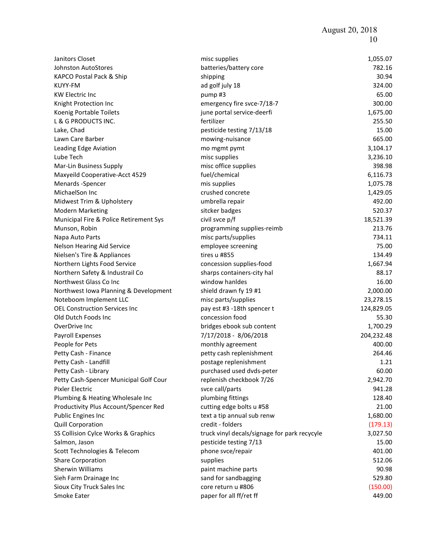| Janitors Closet                        | misc supplies                                | 1,055.07   |
|----------------------------------------|----------------------------------------------|------------|
| <b>Johnston AutoStores</b>             | batteries/battery core                       | 782.16     |
| KAPCO Postal Pack & Ship               | shipping                                     | 30.94      |
| KUYY-FM                                | ad golf july 18                              | 324.00     |
| <b>KW Electric Inc</b>                 | pump#3                                       | 65.00      |
| Knight Protection Inc                  | emergency fire svce-7/18-7                   | 300.00     |
| Koenig Portable Toilets                | june portal service-deerfi                   | 1,675.00   |
| L & G PRODUCTS INC.                    | fertilizer                                   | 255.50     |
| Lake, Chad                             | pesticide testing 7/13/18                    | 15.00      |
| Lawn Care Barber                       | mowing-nuisance                              | 665.00     |
| Leading Edge Aviation                  | mo mgmt pymt                                 | 3,104.17   |
| Lube Tech                              | misc supplies                                | 3,236.10   |
| Mar-Lin Business Supply                | misc office supplies                         | 398.98     |
| Maxyeild Cooperative-Acct 4529         | fuel/chemical                                | 6,116.73   |
| Menards - Spencer                      | mis supplies                                 | 1,075.78   |
| MichaelSon Inc                         | crushed concrete                             | 1,429.05   |
| Midwest Trim & Upholstery              | umbrella repair                              | 492.00     |
| <b>Modern Marketing</b>                | sitcker badges                               | 520.37     |
| Municipal Fire & Police Retirement Sys | civil svce p/f                               | 18,521.39  |
| Munson, Robin                          | programming supplies-reimb                   | 213.76     |
| Napa Auto Parts                        | misc parts/supplies                          | 734.11     |
| Nelson Hearing Aid Service             | employee screening                           | 75.00      |
| Nielsen's Tire & Appliances            | tires u #855                                 | 134.49     |
| Northern Lights Food Service           | concession supplies-food                     | 1,667.94   |
| Northern Safety & Industrail Co        | sharps containers-city hal                   | 88.17      |
| Northwest Glass Co Inc                 | window hanldes                               | 16.00      |
| Northwest Iowa Planning & Development  | shield drawn fy 19 #1                        | 2,000.00   |
| Noteboom Implement LLC                 | misc parts/supplies                          | 23,278.15  |
| <b>OEL Construction Services Inc</b>   | pay est #3 -18th spencer t                   | 124,829.05 |
| Old Dutch Foods Inc                    | concession food                              | 55.30      |
| OverDrive Inc                          | bridges ebook sub content                    | 1,700.29   |
| Payroll Expenses                       | 7/17/2018 - 8/06/2018                        | 204,232.48 |
| People for Pets                        | monthly agreement                            | 400.00     |
| Petty Cash - Finance                   | petty cash replenishment                     | 264.46     |
| Petty Cash - Landfill                  | postage replenishment                        | 1.21       |
| Petty Cash - Library                   | purchased used dvds-peter                    | 60.00      |
| Petty Cash-Spencer Municipal Golf Cour | replenish checkbook 7/26                     | 2,942.70   |
| Pixler Electric                        | svce call/parts                              | 941.28     |
| Plumbing & Heating Wholesale Inc       | plumbing fittings                            | 128.40     |
| Productivity Plus Account/Spencer Red  | cutting edge bolts u #58                     | 21.00      |
| <b>Public Engines Inc</b>              | text a tip annual sub renw                   | 1,680.00   |
| <b>Quill Corporation</b>               | credit - folders                             | (179.13)   |
| SS Collision Cylce Works & Graphics    | truck vinyl decals/signage for park recycyle | 3,027.50   |
| Salmon, Jason                          | pesticide testing 7/13                       | 15.00      |
| Scott Technologies & Telecom           | phone svce/repair                            | 401.00     |
| <b>Share Corporation</b>               | supplies                                     | 512.06     |
| <b>Sherwin Williams</b>                | paint machine parts                          | 90.98      |
| Sieh Farm Drainage Inc                 | sand for sandbagging                         | 529.80     |
|                                        | core return u #806                           | (150.00)   |
| Sioux City Truck Sales Inc             |                                              | 449.00     |
| Smoke Eater                            | paper for all ff/ret ff                      |            |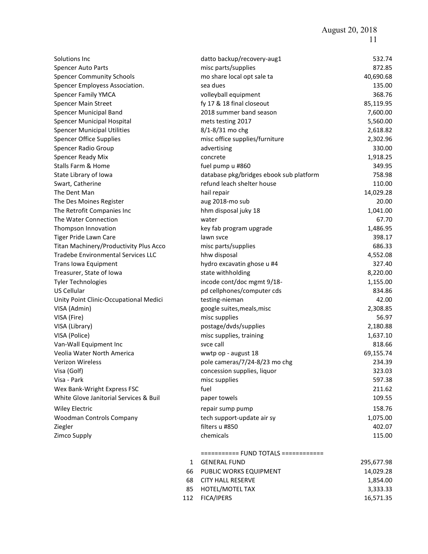August 20, 2018 11

| Solutions Inc                             |              | datto backup/recovery-aug1              | 532.74     |
|-------------------------------------------|--------------|-----------------------------------------|------------|
| Spencer Auto Parts                        |              | misc parts/supplies                     | 872.85     |
| <b>Spencer Community Schools</b>          |              | mo share local opt sale ta              | 40,690.68  |
| Spencer Employess Association.            |              | sea dues                                | 135.00     |
| <b>Spencer Family YMCA</b>                |              | volleyball equipment                    | 368.76     |
| <b>Spencer Main Street</b>                |              | fy 17 & 18 final closeout               | 85,119.95  |
| Spencer Municipal Band                    |              | 2018 summer band season                 | 7,600.00   |
| <b>Spencer Municipal Hospital</b>         |              | mets testing 2017                       | 5,560.00   |
| <b>Spencer Municipal Utilities</b>        |              | 8/1-8/31 mo chg                         | 2,618.82   |
| <b>Spencer Office Supplies</b>            |              | misc office supplies/furniture          | 2,302.96   |
| <b>Spencer Radio Group</b>                |              | advertising                             | 330.00     |
| Spencer Ready Mix                         |              | concrete                                | 1,918.25   |
| Stalls Farm & Home                        |              | fuel pump u #860                        | 349.95     |
| State Library of Iowa                     |              | database pkg/bridges ebook sub platform | 758.98     |
| Swart, Catherine                          |              | refund leach shelter house              | 110.00     |
| The Dent Man                              |              | hail repair                             | 14,029.28  |
| The Des Moines Register                   |              | aug 2018-mo sub                         | 20.00      |
| The Retrofit Companies Inc                |              | hhm disposal juky 18                    | 1,041.00   |
| The Water Connection                      |              | water                                   | 67.70      |
| Thompson Innovation                       |              | key fab program upgrade                 | 1,486.95   |
| Tiger Pride Lawn Care                     |              | lawn syce                               | 398.17     |
| Titan Machinery/Productivity Plus Acco    |              | misc parts/supplies                     | 686.33     |
| <b>Tradebe Environmental Services LLC</b> |              | hhw disposal                            | 4,552.08   |
| Trans Iowa Equipment                      |              | hydro excavatin ghose u #4              | 327.40     |
| Treasurer, State of Iowa                  |              | state withholding                       | 8,220.00   |
| <b>Tyler Technologies</b>                 |              | incode cont/doc mgmt 9/18-              | 1,155.00   |
| US Cellular                               |              | pd cellphones/computer cds              | 834.86     |
| Unity Point Clinic-Occupational Medici    |              | testing-nieman                          | 42.00      |
| VISA (Admin)                              |              | google suites, meals, misc              | 2,308.85   |
| VISA (Fire)                               |              | misc supplies                           | 56.97      |
| VISA (Library)                            |              | postage/dvds/supplies                   | 2,180.88   |
| VISA (Police)                             |              | misc supplies, training                 | 1,637.10   |
| Van-Wall Equipment Inc                    |              | svce call                               | 818.66     |
| Veolia Water North America                |              | wwtp op - august 18                     | 69,155.74  |
| Verizon Wireless                          |              | pole cameras/7/24-8/23 mo chg           | 234.39     |
| Visa (Golf)                               |              | concession supplies, liquor             | 323.03     |
| Visa - Park                               |              | misc supplies                           | 597.38     |
| Wex Bank-Wright Express FSC               |              | fuel                                    | 211.62     |
| White Glove Janitorial Services & Buil    |              | paper towels                            | 109.55     |
| <b>Wiley Electric</b>                     |              | repair sump pump                        | 158.76     |
| Woodman Controls Company                  |              | tech support-update air sy              | 1,075.00   |
| Ziegler                                   |              | filters u #850                          | 402.07     |
| Zimco Supply                              |              | chemicals                               | 115.00     |
|                                           |              |                                         |            |
|                                           |              | =========== FUND TOTALS ============    |            |
|                                           | $\mathbf{1}$ | <b>GENERAL FUND</b>                     | 295,677.98 |
|                                           | 66           | PUBLIC WORKS EQUIPMENT                  | 14,029.28  |
|                                           | 68           | <b>CITY HALL RESERVE</b>                | 1,854.00   |
|                                           | 85           | HOTEL/MOTEL TAX                         | 3,333.33   |
|                                           | 112          | <b>FICA/IPERS</b>                       | 16,571.35  |
|                                           |              |                                         |            |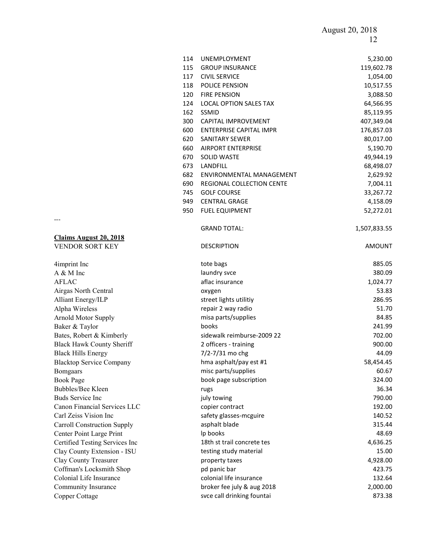August 20, 2018 12

|                                    | 114 | UNEMPLOYMENT                   | 5,230.00      |
|------------------------------------|-----|--------------------------------|---------------|
|                                    | 115 | <b>GROUP INSURANCE</b>         | 119,602.78    |
|                                    | 117 | <b>CIVIL SERVICE</b>           | 1,054.00      |
|                                    | 118 | POLICE PENSION                 | 10,517.55     |
|                                    | 120 | <b>FIRE PENSION</b>            | 3,088.50      |
|                                    | 124 | LOCAL OPTION SALES TAX         | 64,566.95     |
|                                    | 162 | SSMID                          | 85,119.95     |
|                                    | 300 | CAPITAL IMPROVEMENT            | 407,349.04    |
|                                    | 600 | <b>ENTERPRISE CAPITAL IMPR</b> | 176,857.03    |
|                                    | 620 | <b>SANITARY SEWER</b>          | 80,017.00     |
|                                    | 660 | <b>AIRPORT ENTERPRISE</b>      | 5,190.70      |
|                                    | 670 | <b>SOLID WASTE</b>             | 49,944.19     |
|                                    | 673 | LANDFILL                       | 68,498.07     |
|                                    | 682 | ENVIRONMENTAL MANAGEMENT       | 2,629.92      |
|                                    | 690 | REGIONAL COLLECTION CENTE      | 7,004.11      |
|                                    | 745 | <b>GOLF COURSE</b>             | 33,267.72     |
|                                    | 949 | <b>CENTRAL GRAGE</b>           | 4,158.09      |
|                                    | 950 | <b>FUEL EQUIPMENT</b>          | 52,272.01     |
|                                    |     | <b>GRAND TOTAL:</b>            | 1,507,833.55  |
| <b>Claims August 20, 2018</b>      |     |                                |               |
| VENDOR SORT KEY                    |     | <b>DESCRIPTION</b>             | <b>AMOUNT</b> |
| 4imprint Inc                       |     | tote bags                      | 885.05        |
| A & M Inc                          |     | laundry svce                   | 380.09        |
| <b>AFLAC</b>                       |     | aflac insurance                | 1,024.77      |
| Airgas North Central               |     | oxygen                         | 53.83         |
| <b>Alliant Energy/ILP</b>          |     | street lights utilitiy         | 286.95        |
| Alpha Wireless                     |     | repair 2 way radio             | 51.70         |
| <b>Arnold Motor Supply</b>         |     | misa parts/supplies            | 84.85         |
| Baker & Taylor                     |     | books                          | 241.99        |
| Bates, Robert & Kimberly           |     | sidewalk reimburse-2009 22     | 702.00        |
| <b>Black Hawk County Sheriff</b>   |     | 2 officers - training          | 900.00        |
| <b>Black Hills Energy</b>          |     | 7/2-7/31 mo chg                | 44.09         |
| <b>Blacktop Service Company</b>    |     | hma asphalt/pay est #1         | 58,454.45     |
| <b>Bomgaars</b>                    |     | misc parts/supplies            | 60.67         |
| <b>Book Page</b>                   |     | book page subscription         | 324.00        |
| <b>Bubbles/Bee Kleen</b>           |     | rugs                           | 36.34         |
| <b>Buds Service Inc</b>            |     | july towing                    | 790.00        |
| Canon Financial Services LLC       |     | copier contract                | 192.00        |
| Carl Zeiss Vision Inc              |     | safety glasses-mcguire         | 140.52        |
| <b>Carroll Construction Supply</b> |     | asphalt blade                  | 315.44        |
| Center Point Large Print           |     | Ip books                       | 48.69         |
| Certified Testing Services Inc     |     | 18th st trail concrete tes     | 4,636.25      |
| Clay County Extension - ISU        |     | testing study material         | 15.00         |
| Clay County Treasurer              |     | property taxes                 | 4,928.00      |
| Coffman's Locksmith Shop           |     | pd panic bar                   | 423.75        |
| Colonial Life Insurance            |     | colonial life insurance        | 132.64        |
| Community Insurance                |     | broker fee july & aug 2018     | 2,000.00      |
| Copper Cottage                     |     | svce call drinking fountai     | 873.38        |

---

#### Claims August 20, 2018 VENDOR SORT KEY

Community Insurance Copper Cottage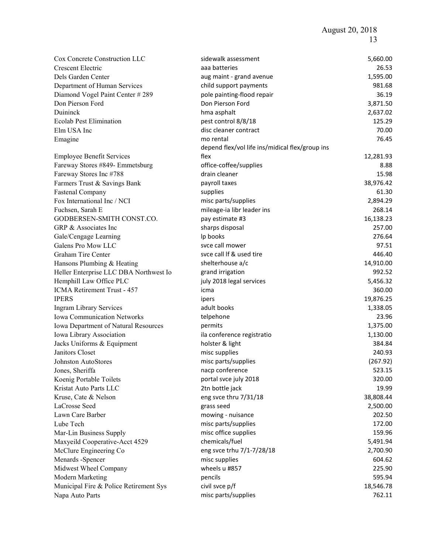| Cox Concrete Construction LLC          | sidewalk assessment                             | 5,660.00  |
|----------------------------------------|-------------------------------------------------|-----------|
| Crescent Electric                      | aaa batteries                                   | 26.53     |
| Dels Garden Center                     | aug maint - grand avenue                        | 1,595.00  |
| Department of Human Services           | child support payments                          | 981.68    |
| Diamond Vogel Paint Center # 289       | pole painting-flood repair                      | 36.19     |
| Don Pierson Ford                       | Don Pierson Ford                                | 3,871.50  |
| Duininck                               | hma asphalt                                     | 2,637.02  |
| <b>Ecolab Pest Elimination</b>         | pest control 8/8/18                             | 125.29    |
| Elm USA Inc                            | disc cleaner contract                           | 70.00     |
| Emagine                                | mo rental                                       | 76.45     |
|                                        | depend flex/vol life ins/midical flex/group ins |           |
| <b>Employee Benefit Services</b>       | flex                                            | 12,281.93 |
| Fareway Stores #849- Emmetsburg        | office-coffee/supplies                          | 8.88      |
| Fareway Stores Inc #788                | drain cleaner                                   | 15.98     |
| Farmers Trust & Savings Bank           | payroll taxes                                   | 38,976.42 |
| <b>Fastenal Company</b>                | supplies                                        | 61.30     |
| Fox International Inc / NCI            | misc parts/supplies                             | 2,894.29  |
| Fuchsen, Sarah E                       | mileage-ia libr leader ins                      | 268.14    |
| GODBERSEN-SMITH CONST.CO.              | pay estimate #3                                 | 16,138.23 |
| GRP & Associates Inc                   | sharps disposal                                 | 257.00    |
| Gale/Cengage Learning                  | Ip books                                        | 276.64    |
| Galens Pro Mow LLC                     | svce call mower                                 | 97.51     |
| Graham Tire Center                     | svce call If & used tire                        | 446.40    |
| Hansons Plumbing & Heating             | shelterhouse a/c                                | 14,910.00 |
| Heller Enterprise LLC DBA Northwest Io | grand irrigation                                | 992.52    |
| Hemphill Law Office PLC                | july 2018 legal services                        | 5,456.32  |
| ICMA Retirement Trust - 457            | icma                                            | 360.00    |
| <b>IPERS</b>                           | ipers                                           | 19,876.25 |
| <b>Ingram Library Services</b>         | adult books                                     | 1,338.05  |
| Iowa Communication Networks            | telpehone                                       | 23.96     |
| Iowa Department of Natural Resources   | permits                                         | 1,375.00  |
| Iowa Library Association               | ila conference registratio                      | 1,130.00  |
| Jacks Uniforms & Equipment             | holster & light                                 | 384.84    |
| Janitors Closet                        | misc supplies                                   | 240.93    |
| Johnston AutoStores                    | misc parts/supplies                             | (267.92)  |
| Jones, Sheriffa                        | nacp conference                                 | 523.15    |
| Koenig Portable Toilets                | portal svce july 2018                           | 320.00    |
| Kristat Auto Parts LLC                 | 2tn bottle jack                                 | 19.99     |
| Kruse, Cate & Nelson                   | eng svce thru 7/31/18                           | 38,808.44 |
| LaCrosse Seed                          | grass seed                                      | 2,500.00  |
| Lawn Care Barber                       | mowing - nuisance                               | 202.50    |
| Lube Tech                              | misc parts/supplies                             | 172.00    |
| Mar-Lin Business Supply                | misc office supplies                            | 159.96    |
| Maxyeild Cooperative-Acct 4529         | chemicals/fuel                                  | 5,491.94  |
| McClure Engineering Co                 | eng svce trhu 7/1-7/28/18                       | 2,700.90  |
| Menards -Spencer                       | misc supplies                                   | 604.62    |
| Midwest Wheel Company                  | wheels u #857                                   | 225.90    |
| Modern Marketing                       | pencils                                         | 595.94    |
| Municipal Fire & Police Retirement Sys | civil svce p/f                                  | 18,546.78 |
| Napa Auto Parts                        | misc parts/supplies                             | 762.11    |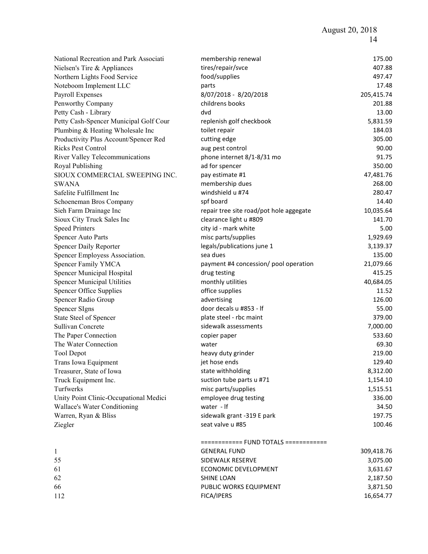| National Recreation and Park Associati | membership renewal                      | 175.00     |
|----------------------------------------|-----------------------------------------|------------|
| Nielsen's Tire & Appliances            | tires/repair/svce                       | 407.88     |
| Northern Lights Food Service           | food/supplies                           | 497.47     |
| Noteboom Implement LLC                 | parts                                   | 17.48      |
| Payroll Expenses                       | 8/07/2018 - 8/20/2018                   | 205,415.74 |
| Penworthy Company                      | childrens books                         | 201.88     |
| Petty Cash - Library                   | dvd                                     | 13.00      |
| Petty Cash-Spencer Municipal Golf Cour | replenish golf checkbook                | 5,831.59   |
| Plumbing & Heating Wholesale Inc       | toilet repair                           | 184.03     |
| Productivity Plus Account/Spencer Red  | cutting edge                            | 305.00     |
| <b>Ricks Pest Control</b>              | aug pest control                        | 90.00      |
| River Valley Telecommunications        | phone internet 8/1-8/31 mo              | 91.75      |
| Royal Publishing                       | ad for spencer                          | 350.00     |
| SIOUX COMMERCIAL SWEEPING INC.         | pay estimate #1                         | 47,481.76  |
| <b>SWANA</b>                           | membership dues                         | 268.00     |
| Safelite Fulfillment Inc               | windshield u #74                        | 280.47     |
| Schoeneman Bros Company                | spf board                               | 14.40      |
| Sieh Farm Drainage Inc                 | repair tree site road/pot hole aggegate | 10,035.64  |
| Sioux City Truck Sales Inc             | clearance light u #809                  | 141.70     |
| <b>Speed Printers</b>                  | city id - mark white                    | 5.00       |
|                                        | misc parts/supplies                     | 1,929.69   |
| Spencer Auto Parts                     | legals/publications june 1              | 3,139.37   |
| Spencer Daily Reporter                 | sea dues                                | 135.00     |
| Spencer Employess Association.         |                                         | 21,079.66  |
| Spencer Family YMCA                    | payment #4 concession/ pool operation   | 415.25     |
| Spencer Municipal Hospital             | drug testing                            | 40,684.05  |
| <b>Spencer Municipal Utilities</b>     | monthly utilities                       |            |
| Spencer Office Supplies                | office supplies                         | 11.52      |
| Spencer Radio Group                    | advertising                             | 126.00     |
| <b>Spencer SIgns</b>                   | door decals u #853 - If                 | 55.00      |
| State Steel of Spencer                 | plate steel - rbc maint                 | 379.00     |
| Sullivan Concrete                      | sidewalk assessments                    | 7,000.00   |
| The Paper Connection                   | copier paper                            | 533.60     |
| The Water Connection                   | water                                   | 69.30      |
| <b>Tool Depot</b>                      | heavy duty grinder                      | 219.00     |
| Trans Iowa Equipment                   | jet hose ends                           | 129.40     |
| Treasurer, State of Iowa               | state withholding                       | 8,312.00   |
| Truck Equipment Inc.                   | suction tube parts u #71                | 1,154.10   |
| Turfwerks                              | misc parts/supplies                     | 1,515.51   |
| Unity Point Clinic-Occupational Medici | employee drug testing                   | 336.00     |
| Wallace's Water Conditioning           | water - If                              | 34.50      |
| Warren, Ryan & Bliss                   | sidewalk grant -319 E park              | 197.75     |
| Ziegler                                | seat valve u #85                        | 100.46     |
|                                        | ============ FUND TOTALS ============   |            |
| $\mathbf{1}$                           | <b>GENERAL FUND</b>                     | 309,418.76 |
| 55                                     | SIDEWALK RESERVE                        | 3,075.00   |
| 61                                     | ECONOMIC DEVELOPMENT                    | 3,631.67   |
| 62                                     | SHINE LOAN                              | 2,187.50   |
| 66                                     | PUBLIC WORKS EQUIPMENT                  | 3,871.50   |
| 112                                    | FICA/IPERS                              | 16,654.77  |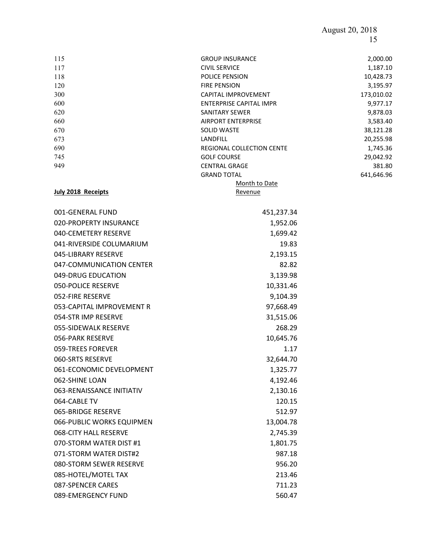# August 20, 2018 15

| 115 | <b>GROUP INSURANCE</b>           | 2,000.00   |
|-----|----------------------------------|------------|
| 117 | <b>CIVIL SERVICE</b>             | 1,187.10   |
| 118 | <b>POLICE PENSION</b>            | 10,428.73  |
| 120 | <b>FIRE PENSION</b>              | 3,195.97   |
| 300 | <b>CAPITAL IMPROVEMENT</b>       | 173,010.02 |
| 600 | <b>ENTERPRISE CAPITAL IMPR</b>   | 9,977.17   |
| 620 | SANITARY SEWER                   | 9,878.03   |
| 660 | <b>AIRPORT ENTERPRISE</b>        | 3,583.40   |
| 670 | <b>SOLID WASTE</b>               | 38,121.28  |
| 673 | <b>LANDFILL</b>                  | 20,255.98  |
| 690 | <b>REGIONAL COLLECTION CENTE</b> | 1,745.36   |
| 745 | <b>GOLF COURSE</b>               | 29,042.92  |
| 949 | <b>CENTRAL GRAGE</b>             | 381.80     |
|     | <b>GRAND TOTAL</b>               | 641,646.96 |
|     |                                  |            |

#### July 2018 Receipts

Month to Date Revenue

| 001-GENERAL FUND          | 451,237.34 |
|---------------------------|------------|
| 020-PROPERTY INSURANCE    | 1,952.06   |
| 040-CEMETERY RESERVE      | 1,699.42   |
| 041-RIVERSIDE COLUMARIUM  | 19.83      |
| 045-LIBRARY RESERVE       | 2,193.15   |
| 047-COMMUNICATION CENTER  | 82.82      |
| 049-DRUG EDUCATION        | 3,139.98   |
| <b>050-POLICE RESERVE</b> | 10,331.46  |
| 052-FIRE RESERVE          | 9,104.39   |
| 053-CAPITAL IMPROVEMENT R | 97,668.49  |
| 054-STR IMP RESERVE       | 31,515.06  |
| 055-SIDEWALK RESERVE      | 268.29     |
| 056-PARK RESERVE          | 10,645.76  |
| 059-TREES FOREVER         | 1.17       |
| 060-SRTS RESERVE          | 32,644.70  |
| 061-ECONOMIC DEVELOPMENT  | 1,325.77   |
| 062-SHINE LOAN            | 4,192.46   |
| 063-RENAISSANCE INITIATIV | 2,130.16   |
| 064-CABLE TV              | 120.15     |
| 065-BRIDGE RESERVE        | 512.97     |
| 066-PUBLIC WORKS EQUIPMEN | 13,004.78  |
| 068-CITY HALL RESERVE     | 2,745.39   |
| 070-STORM WATER DIST #1   | 1,801.75   |
| 071-STORM WATER DIST#2    | 987.18     |
| 080-STORM SEWER RESERVE   | 956.20     |
| 085-HOTEL/MOTEL TAX       | 213.46     |
| 087-SPENCER CARES         | 711.23     |
| 089-EMERGENCY FUND        | 560.47     |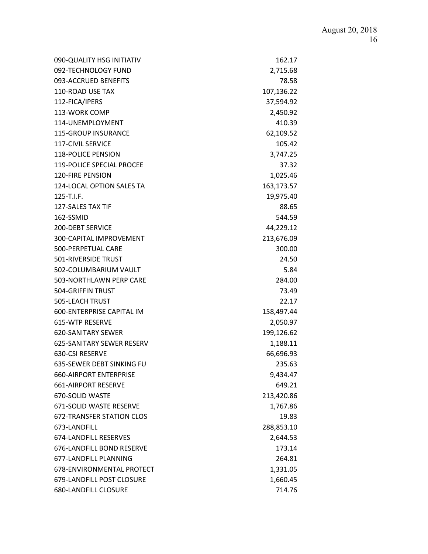| 090-QUALITY HSG INITIATIV        | 162.17     |
|----------------------------------|------------|
| 092-TECHNOLOGY FUND              | 2,715.68   |
| 093-ACCRUED BENEFITS             | 78.58      |
| 110-ROAD USE TAX                 | 107,136.22 |
| 112-FICA/IPERS                   | 37,594.92  |
| 113-WORK COMP                    | 2,450.92   |
| 114-UNEMPLOYMENT                 | 410.39     |
| <b>115-GROUP INSURANCE</b>       | 62,109.52  |
| <b>117-CIVIL SERVICE</b>         | 105.42     |
| <b>118-POLICE PENSION</b>        | 3,747.25   |
| <b>119-POLICE SPECIAL PROCEE</b> | 37.32      |
| <b>120-FIRE PENSION</b>          | 1,025.46   |
| 124-LOCAL OPTION SALES TA        | 163,173.57 |
| 125-T.I.F.                       | 19,975.40  |
| <b>127-SALES TAX TIF</b>         | 88.65      |
| 162-SSMID                        | 544.59     |
| <b>200-DEBT SERVICE</b>          | 44,229.12  |
| 300-CAPITAL IMPROVEMENT          | 213,676.09 |
| 500-PERPETUAL CARE               | 300.00     |
| 501-RIVERSIDE TRUST              | 24.50      |
| 502-COLUMBARIUM VAULT            | 5.84       |
| 503-NORTHLAWN PERP CARE          | 284.00     |
| 504-GRIFFIN TRUST                | 73.49      |
| 505-LEACH TRUST                  | 22.17      |
| 600-ENTERPRISE CAPITAL IM        | 158,497.44 |
| 615-WTP RESERVE                  | 2,050.97   |
| <b>620-SANITARY SEWER</b>        | 199,126.62 |
| 625-SANITARY SEWER RESERV        | 1,188.11   |
| 630-CSI RESERVE                  | 66,696.93  |
| 635-SEWER DEBT SINKING FU        | 235.63     |
| <b>660-AIRPORT ENTERPRISE</b>    | 9,434.47   |
| <b>661-AIRPORT RESERVE</b>       | 649.21     |
| 670-SOLID WASTE                  | 213,420.86 |
| 671-SOLID WASTE RESERVE          | 1,767.86   |
| <b>672-TRANSFER STATION CLOS</b> | 19.83      |
| 673-LANDFILL                     | 288,853.10 |
| 674-LANDFILL RESERVES            | 2,644.53   |
| 676-LANDFILL BOND RESERVE        | 173.14     |
| 677-LANDFILL PLANNING            | 264.81     |
| 678-ENVIRONMENTAL PROTECT        | 1,331.05   |
| 679-LANDFILL POST CLOSURE        | 1,660.45   |
| 680-LANDFILL CLOSURE             | 714.76     |